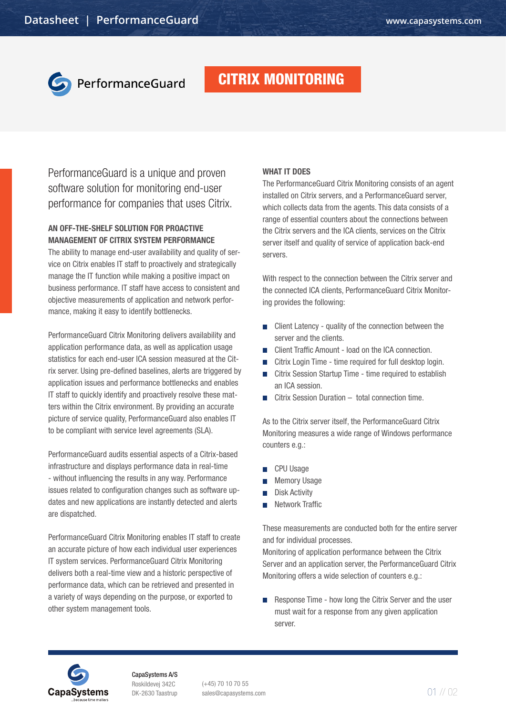

## PerformanceGuard

## CITRIX MONITORING

PerformanceGuard is a unique and proven software solution for monitoring end-user performance for companies that uses Citrix.

### AN OFF-THE-SHELF SOLUTION FOR PROACTIVE MANAGEMENT OF CITRIX SYSTEM PERFORMANCE

The ability to manage end-user availability and quality of service on Citrix enables IT staff to proactively and strategically manage the IT function while making a positive impact on business performance. IT staff have access to consistent and objective measurements of application and network performance, making it easy to identify bottlenecks.

PerformanceGuard Citrix Monitoring delivers availability and application performance data, as well as application usage statistics for each end-user ICA session measured at the Citrix server. Using pre-defined baselines, alerts are triggered by application issues and performance bottlenecks and enables IT staff to quickly identify and proactively resolve these matters within the Citrix environment. By providing an accurate picture of service quality, PerformanceGuard also enables IT to be compliant with service level agreements (SLA).

PerformanceGuard audits essential aspects of a Citrix-based infrastructure and displays performance data in real-time - without influencing the results in any way. Performance issues related to configuration changes such as software updates and new applications are instantly detected and alerts are dispatched.

PerformanceGuard Citrix Monitoring enables IT staff to create an accurate picture of how each individual user experiences IT system services. PerformanceGuard Citrix Monitoring delivers both a real-time view and a historic perspective of performance data, which can be retrieved and presented in a variety of ways depending on the purpose, or exported to other system management tools.

#### WHAT IT DOES

The PerformanceGuard Citrix Monitoring consists of an agent installed on Citrix servers, and a PerformanceGuard server, which collects data from the agents. This data consists of a range of essential counters about the connections between the Citrix servers and the ICA clients, services on the Citrix server itself and quality of service of application back-end servers.

With respect to the connection between the Citrix server and the connected ICA clients, PerformanceGuard Citrix Monitoring provides the following:

- $\blacksquare$  Client Latency quality of the connection between the server and the clients.
- **Client Traffic Amount load on the ICA connection.**
- Citrix Login Time time required for full desktop login.
- Citrix Session Startup Time time required to establish an ICA session.
- $\Box$  Citrix Session Duration total connection time.

As to the Citrix server itself, the PerformanceGuard Citrix Monitoring measures a wide range of Windows performance counters e.g.:

- CPU Usage
- Memory Usage
- Disk Activity
- Network Traffic

These measurements are conducted both for the entire server and for individual processes.

Monitoring of application performance between the Citrix Server and an application server, the PerformanceGuard Citrix Monitoring offers a wide selection of counters e.g.:

 Response Time - how long the Citrix Server and the user must wait for a response from any given application server.



CapaSystems A/S Roskildevej 342C DK-2630 Taastrup

(+45) 70 10 70 55 sales@capasystems.com 01 // 02